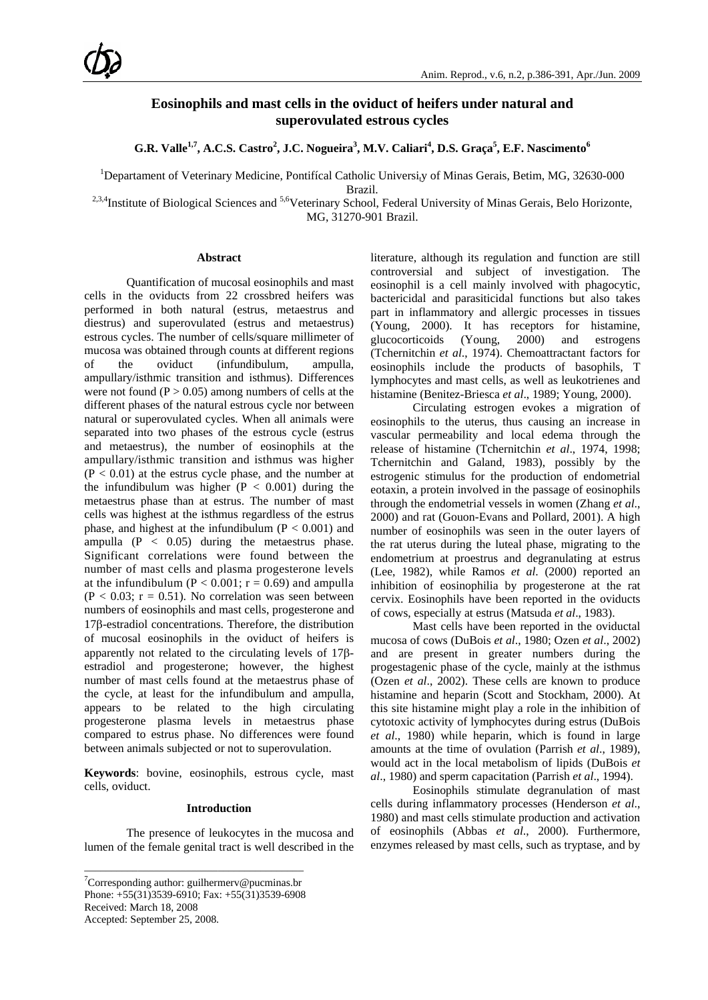# **Eosinophils and mast cells in the oviduct of heifers under natural and superovulated estrous cycles**

**G.R. Valle<sup>1,7</sup>, A.C.S. Castro<sup>2</sup>, J.C. Nogueira<sup>3</sup>, M.V. Caliari<sup>4</sup>, D.S. Graça<sup>5</sup>, E.F. Nascimento<sup>6</sup>** 

<sup>1</sup>Departament of Veterinary Medicine, Pontifícal Catholic Universi<sub>t</sub>y of Minas Gerais, Betim, MG, 32630-000

Brazil.

<sup>2,3,4</sup>Institute of Biological Sciences and <sup>5,6</sup>Veterinary School, Federal University of Minas Gerais, Belo Horizonte, MG, 31270-901 Brazil.

#### **Abstract**

Quantification of mucosal eosinophils and mast cells in the oviducts from 22 crossbred heifers was performed in both natural (estrus, metaestrus and diestrus) and superovulated (estrus and metaestrus) estrous cycles. The number of cells/square millimeter of mucosa was obtained through counts at different regions of the oviduct (infundibulum, ampulla, ampullary/isthmic transition and isthmus). Differences were not found ( $P > 0.05$ ) among numbers of cells at the different phases of the natural estrous cycle nor between natural or superovulated cycles. When all animals were separated into two phases of the estrous cycle (estrus and metaestrus), the number of eosinophils at the ampullary/isthmic transition and isthmus was higher  $(P < 0.01)$  at the estrus cycle phase, and the number at the infundibulum was higher  $(P < 0.001)$  during the metaestrus phase than at estrus. The number of mast cells was highest at the isthmus regardless of the estrus phase, and highest at the infundibulum ( $P < 0.001$ ) and ampulla  $(P < 0.05)$  during the metaestrus phase. Significant correlations were found between the number of mast cells and plasma progesterone levels at the infundibulum ( $P < 0.001$ ;  $r = 0.69$ ) and ampulla  $(P < 0.03$ ;  $r = 0.51$ ). No correlation was seen between numbers of eosinophils and mast cells, progesterone and 17β-estradiol concentrations. Therefore, the distribution of mucosal eosinophils in the oviduct of heifers is apparently not related to the circulating levels of 17βestradiol and progesterone; however, the highest number of mast cells found at the metaestrus phase of the cycle, at least for the infundibulum and ampulla, appears to be related to the high circulating progesterone plasma levels in metaestrus phase compared to estrus phase. No differences were found between animals subjected or not to superovulation.

**Keywords**: bovine, eosinophils, estrous cycle, mast cells, oviduct.

#### **Introduction**

The presence of leukocytes in the mucosa and lumen of the female genital tract is well described in the

\_\_\_\_\_\_\_\_\_\_\_\_\_\_\_\_\_\_\_\_\_\_\_\_\_\_\_\_\_\_\_\_\_\_\_\_\_\_\_\_\_

Accepted: September 25, 2008.

literature, although its regulation and function are still controversial and subject of investigation. The eosinophil is a cell mainly involved with phagocytic, bactericidal and parasiticidal functions but also takes part in inflammatory and allergic processes in tissues (Young, 2000). It has receptors for histamine, glucocorticoids (Young, 2000) and estrogens (Tchernitchin *et al*., 1974). Chemoattractant factors for eosinophils include the products of basophils, T lymphocytes and mast cells, as well as leukotrienes and histamine (Benitez-Briesca *et al*., 1989; Young, 2000).

Circulating estrogen evokes a migration of eosinophils to the uterus, thus causing an increase in vascular permeability and local edema through the release of histamine (Tchernitchin *et al*., 1974, 1998; Tchernitchin and Galand, 1983), possibly by the estrogenic stimulus for the production of endometrial eotaxin, a protein involved in the passage of eosinophils through the endometrial vessels in women (Zhang *et al*., 2000) and rat (Gouon-Evans and Pollard, 2001). A high number of eosinophils was seen in the outer layers of the rat uterus during the luteal phase, migrating to the endometrium at proestrus and degranulating at estrus (Lee, 1982), while Ramos *et al*. (2000) reported an inhibition of eosinophilia by progesterone at the rat cervix. Eosinophils have been reported in the oviducts of cows, especially at estrus (Matsuda *et al*., 1983).

Mast cells have been reported in the oviductal mucosa of cows (DuBois *et al*., 1980; Ozen *et al*., 2002) and are present in greater numbers during the progestagenic phase of the cycle, mainly at the isthmus (Ozen *et al*., 2002). These cells are known to produce histamine and heparin (Scott and Stockham, 2000). At this site histamine might play a role in the inhibition of cytotoxic activity of lymphocytes during estrus (DuBois *et al*., 1980) while heparin, which is found in large amounts at the time of ovulation (Parrish *et al*., 1989), would act in the local metabolism of lipids (DuBois *et al*., 1980) and sperm capacitation (Parrish *et al*., 1994).

Eosinophils stimulate degranulation of mast cells during inflammatory processes (Henderson *et al*., 1980) and mast cells stimulate production and activation of eosinophils (Abbas *et al*., 2000). Furthermore, enzymes released by mast cells, such as tryptase, and by

 $7$ Corresponding author: guilhermerv@pucminas.br Phone: +55(31)3539-6910; Fax: +55(31)3539-6908 Received: March 18, 2008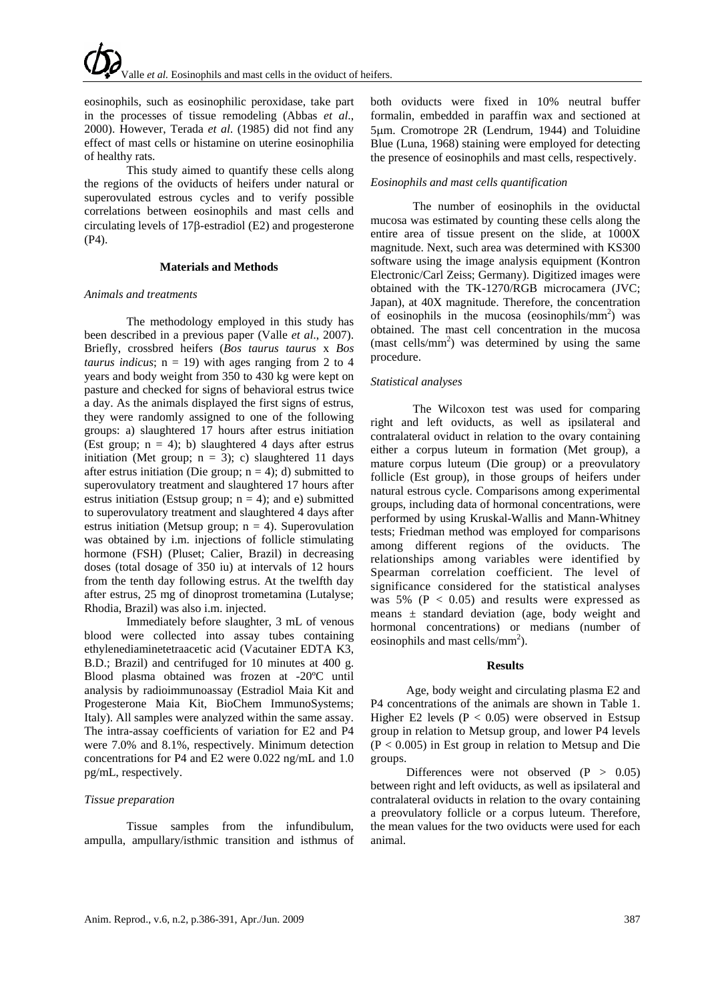eosinophils, such as eosinophilic peroxidase, take part in the processes of tissue remodeling (Abbas *et al*., 2000). However, Terada *et al*. (1985) did not find any effect of mast cells or histamine on uterine eosinophilia of healthy rats.

This study aimed to quantify these cells along the regions of the oviducts of heifers under natural or superovulated estrous cycles and to verify possible correlations between eosinophils and mast cells and circulating levels of 17β-estradiol (E2) and progesterone (P4).

## **Materials and Methods**

### *Animals and treatments*

The methodology employed in this study has been described in a previous paper (Valle *et al*., 2007). Briefly, crossbred heifers (*Bos taurus taurus* x *Bos taurus indicus*;  $n = 19$ ) with ages ranging from 2 to 4 years and body weight from 350 to 430 kg were kept on pasture and checked for signs of behavioral estrus twice a day. As the animals displayed the first signs of estrus, they were randomly assigned to one of the following groups: a) slaughtered 17 hours after estrus initiation (Est group;  $n = 4$ ); b) slaughtered 4 days after estrus initiation (Met group;  $n = 3$ ); c) slaughtered 11 days after estrus initiation (Die group;  $n = 4$ ); d) submitted to superovulatory treatment and slaughtered 17 hours after estrus initiation (Estsup group;  $n = 4$ ); and e) submitted to superovulatory treatment and slaughtered 4 days after estrus initiation (Metsup group;  $n = 4$ ). Superovulation was obtained by i.m. injections of follicle stimulating hormone (FSH) (Pluset; Calier, Brazil) in decreasing doses (total dosage of 350 iu) at intervals of 12 hours from the tenth day following estrus. At the twelfth day after estrus, 25 mg of dinoprost trometamina (Lutalyse; Rhodia, Brazil) was also i.m. injected.

Immediately before slaughter, 3 mL of venous blood were collected into assay tubes containing ethylenediaminetetraacetic acid (Vacutainer EDTA K3, B.D.; Brazil) and centrifuged for 10 minutes at 400 g. Blood plasma obtained was frozen at -20ºC until analysis by radioimmunoassay (Estradiol Maia Kit and Progesterone Maia Kit, BioChem ImmunoSystems; Italy). All samples were analyzed within the same assay. The intra-assay coefficients of variation for E2 and P4 were 7.0% and 8.1%, respectively. Minimum detection concentrations for P4 and E2 were 0.022 ng/mL and 1.0 pg/mL, respectively.

# *Tissue preparation*

Tissue samples from the infundibulum, ampulla, ampullary/isthmic transition and isthmus of both oviducts were fixed in 10% neutral buffer formalin, embedded in paraffin wax and sectioned at 5μm. Cromotrope 2R (Lendrum, 1944) and Toluidine Blue (Luna, 1968) staining were employed for detecting the presence of eosinophils and mast cells, respectively.

# *Eosinophils and mast cells quantification*

The number of eosinophils in the oviductal mucosa was estimated by counting these cells along the entire area of tissue present on the slide, at 1000X magnitude. Next, such area was determined with KS300 software using the image analysis equipment (Kontron Electronic/Carl Zeiss; Germany). Digitized images were obtained with the TK-1270/RGB microcamera (JVC; Japan), at 40X magnitude. Therefore, the concentration of eosinophils in the mucosa (eosinophils/mm<sup>2</sup>) was obtained. The mast cell concentration in the mucosa (mast cells/ $mm<sup>2</sup>$ ) was determined by using the same procedure.

## *Statistical analyses*

The Wilcoxon test was used for comparing right and left oviducts, as well as ipsilateral and contralateral oviduct in relation to the ovary containing either a corpus luteum in formation (Met group), a mature corpus luteum (Die group) or a preovulatory follicle (Est group), in those groups of heifers under natural estrous cycle. Comparisons among experimental groups, including data of hormonal concentrations, were performed by using Kruskal-Wallis and Mann-Whitney tests; Friedman method was employed for comparisons among different regions of the oviducts. The relationships among variables were identified by Spearman correlation coefficient. The level of significance considered for the statistical analyses was  $5\%$  (P < 0.05) and results were expressed as means ± standard deviation (age, body weight and hormonal concentrations) or medians (number of eosinophils and mast cells/ $mm<sup>2</sup>$ ).

### **Results**

Age, body weight and circulating plasma E2 and P4 concentrations of the animals are shown in Table 1. Higher E2 levels ( $P < 0.05$ ) were observed in Estsup group in relation to Metsup group, and lower P4 levels  $(P < 0.005)$  in Est group in relation to Metsup and Die groups.

Differences were not observed  $(P > 0.05)$ between right and left oviducts, as well as ipsilateral and contralateral oviducts in relation to the ovary containing a preovulatory follicle or a corpus luteum. Therefore, the mean values for the two oviducts were used for each animal.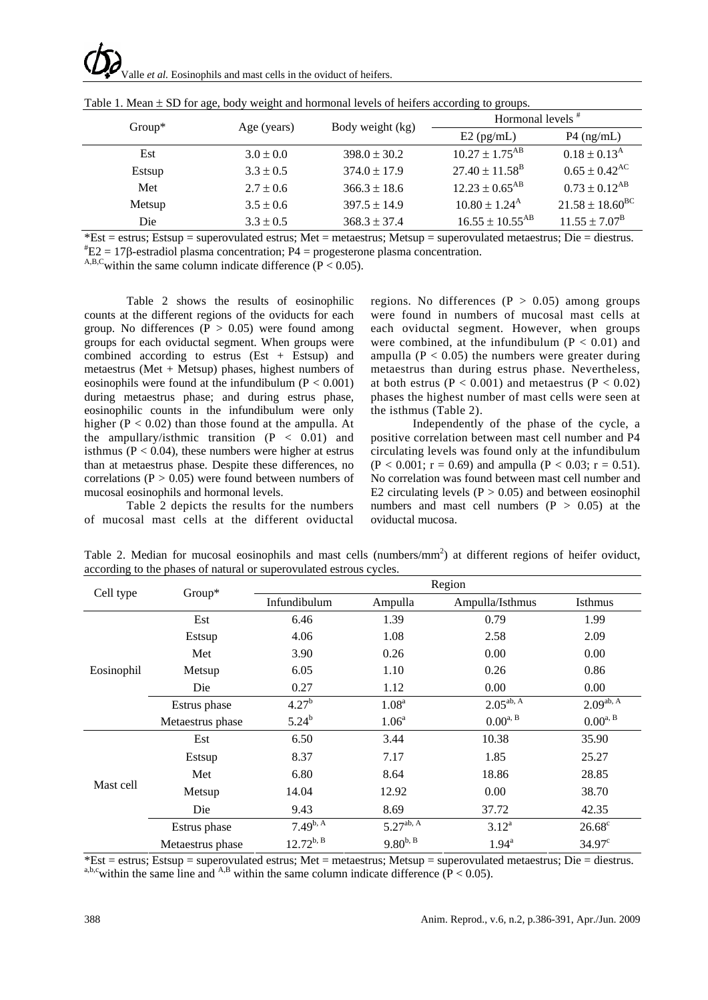Valle *et al.* Eosinophils and mast cells in the oviduct of heifers.

| $Group^*$ | Age (years)   | Body weight (kg) | Hormonal levels <sup>#</sup>    |                             |
|-----------|---------------|------------------|---------------------------------|-----------------------------|
|           |               |                  | $E2$ (pg/mL)                    | $P4$ (ng/mL)                |
| Est       | $3.0 \pm 0.0$ | $398.0 \pm 30.2$ | $10.27 \pm 1.75$ <sup>AB</sup>  | $0.18 \pm 0.13^{\rm A}$     |
| Estsup    | $3.3 \pm 0.5$ | $374.0 \pm 17.9$ | $27.40 \pm 11.58$ <sup>B</sup>  | $0.65 \pm 0.42^{\text{AC}}$ |
| Met       | $2.7 \pm 0.6$ | $366.3 \pm 18.6$ | $12.23 \pm 0.65$ <sup>AB</sup>  | $0.73 \pm 0.12^{AB}$        |
| Metsup    | $3.5 \pm 0.6$ | $397.5 \pm 14.9$ | $10.80 \pm 1.24^{\rm A}$        | $21.58 \pm 18.60^{\rm BC}$  |
| Die       | $3.3 \pm 0.5$ | $368.3 \pm 37.4$ | $16.55 \pm 10.55$ <sup>AB</sup> | $11.55 \pm 7.07^{\rm B}$    |

Table 1. Mean  $\pm$  SD for age, body weight and hormonal levels of heifers according to groups.

 $*Est = estrus$ ; Estsup = superovulated estrus; Met = metaestrus; Metsup = superovulated metaestrus; Die = diestrus.  $E2 = 17β$ -estradiol plasma concentration; P4 = progesterone plasma concentration.

A,B,C within the same column indicate difference ( $P < 0.05$ ).

Table 2 shows the results of eosinophilic counts at the different regions of the oviducts for each group. No differences  $(P > 0.05)$  were found among groups for each oviductal segment. When groups were combined according to estrus (Est + Estsup) and metaestrus (Met + Metsup) phases, highest numbers of eosinophils were found at the infundibulum  $(P < 0.001)$ during metaestrus phase; and during estrus phase, eosinophilic counts in the infundibulum were only higher  $(P < 0.02)$  than those found at the ampulla. At the ampullary/isthmic transition  $(P < 0.01)$  and isthmus ( $P < 0.04$ ), these numbers were higher at estrus than at metaestrus phase. Despite these differences, no correlations ( $P > 0.05$ ) were found between numbers of mucosal eosinophils and hormonal levels.

Table 2 depicts the results for the numbers of mucosal mast cells at the different oviductal regions. No differences  $(P > 0.05)$  among groups were found in numbers of mucosal mast cells at each oviductal segment. However, when groups were combined, at the infundibulum ( $P < 0.01$ ) and ampulla ( $P < 0.05$ ) the numbers were greater during metaestrus than during estrus phase. Nevertheless, at both estrus ( $P < 0.001$ ) and metaestrus ( $P < 0.02$ ) phases the highest number of mast cells were seen at the isthmus (Table 2).

Independently of the phase of the cycle, a positive correlation between mast cell number and P4 circulating levels was found only at the infundibulum  $(P < 0.001$ ;  $r = 0.69$ ) and ampulla  $(P < 0.03$ ;  $r = 0.51$ ). No correlation was found between mast cell number and E2 circulating levels  $(P > 0.05)$  and between eosinophil numbers and mast cell numbers  $(P > 0.05)$  at the oviductal mucosa.

| Table 2. Median for mucosal eosinophils and mast cells (numbers/mm <sup>2</sup> ) at different regions of heifer oviduct, |
|---------------------------------------------------------------------------------------------------------------------------|
| according to the phases of natural or superovulated estrous cycles.                                                       |
|                                                                                                                           |

| Cell type  | Group*           | Region                  |                   |                     |                 |  |
|------------|------------------|-------------------------|-------------------|---------------------|-----------------|--|
|            |                  | Infundibulum            | Ampulla           | Ampulla/Isthmus     | <b>Isthmus</b>  |  |
| Eosinophil | Est              | 6.46                    | 1.39              | 0.79                | 1.99            |  |
|            | Estsup           | 4.06                    | 1.08              | 2.58                | 2.09            |  |
|            | Met              | 3.90                    | 0.26              | 0.00                | 0.00            |  |
|            | Metsup           | 6.05                    | 1.10              | 0.26                | 0.86            |  |
|            | Die              | 0.27                    | 1.12              | 0.00                | 0.00            |  |
|            | Estrus phase     | 4.27 <sup>b</sup>       | 1.08 <sup>a</sup> | $2.05^{ab, A}$      | $2.09^{ab, A}$  |  |
|            | Metaestrus phase | $5.24^{b}$              | 1.06 <sup>a</sup> | $0.00^{a, B}$       | $0.00^{a, B}$   |  |
| Mast cell  | Est              | 6.50                    | 3.44              | 10.38               | 35.90           |  |
|            | Estsup           | 8.37                    | 7.17              | 1.85                | 25.27           |  |
|            | Met              | 6.80                    | 8.64              | 18.86               | 28.85           |  |
|            | Metsup           | 14.04                   | 12.92             | 0.00                | 38.70           |  |
|            | Die              | 9.43                    | 8.69              | 37.72               | 42.35           |  |
|            | Estrus phase     | $7.49^{b,\overline{A}}$ | $5.27^{ab, A}$    | $3.12^{a}$          | $26.68^{\circ}$ |  |
|            | Metaestrus phase | $12.72^{b, B}$          | $9.80^{b, B}$     | $1.94^{\mathrm{a}}$ | $34.97^{\circ}$ |  |

\*Est = estrus; Estsup = superovulated estrus; Met = metaestrus; Metsup = superovulated metaestrus; Die = diestrus. a,b,c<sub>w</sub>ithin the same line and <sup>A,B</sup> within the same column indicate difference ( $P < 0.05$ ).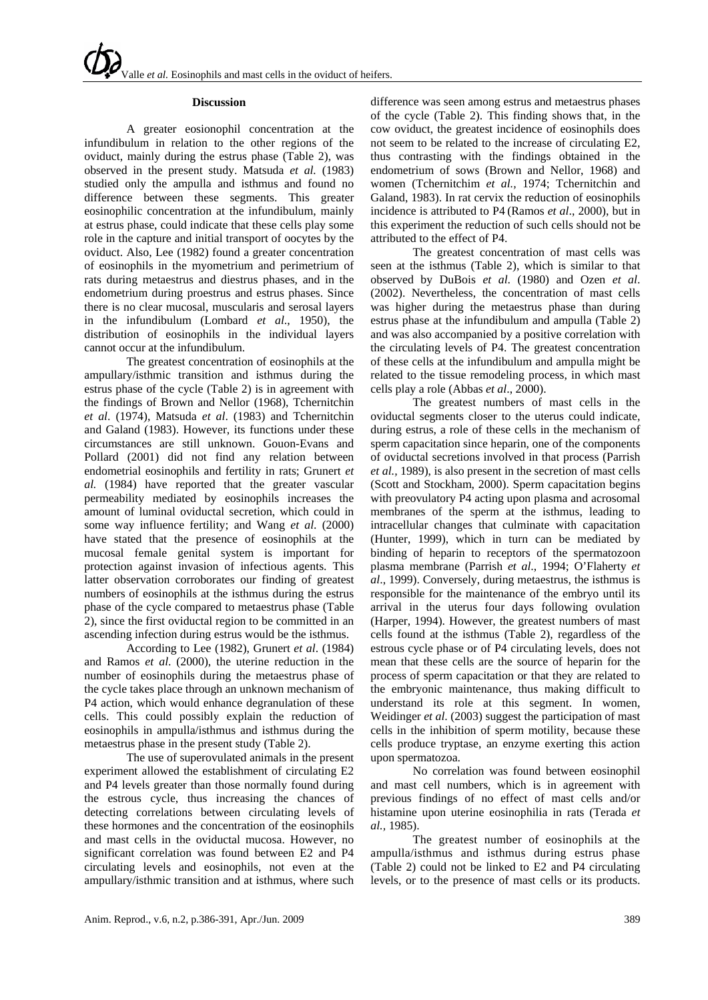### **Discussion**

A greater eosionophil concentration at the infundibulum in relation to the other regions of the oviduct, mainly during the estrus phase (Table 2), was observed in the present study. Matsuda *et al.* (1983) studied only the ampulla and isthmus and found no difference between these segments. This greater eosinophilic concentration at the infundibulum, mainly at estrus phase, could indicate that these cells play some role in the capture and initial transport of oocytes by the oviduct. Also, Lee (1982) found a greater concentration of eosinophils in the myometrium and perimetrium of rats during metaestrus and diestrus phases, and in the endometrium during proestrus and estrus phases. Since there is no clear mucosal, muscularis and serosal layers in the infundibulum (Lombard *et al*., 1950), the distribution of eosinophils in the individual layers cannot occur at the infundibulum.

The greatest concentration of eosinophils at the ampullary/isthmic transition and isthmus during the estrus phase of the cycle (Table 2) is in agreement with the findings of Brown and Nellor (1968), Tchernitchin *et al*. (1974), Matsuda *et al*. (1983) and Tchernitchin and Galand (1983). However, its functions under these circumstances are still unknown. Gouon-Evans and Pollard (2001) did not find any relation between endometrial eosinophils and fertility in rats; Grunert *et al.* (1984) have reported that the greater vascular permeability mediated by eosinophils increases the amount of luminal oviductal secretion, which could in some way influence fertility; and Wang *et al*. (2000) have stated that the presence of eosinophils at the mucosal female genital system is important for protection against invasion of infectious agents. This latter observation corroborates our finding of greatest numbers of eosinophils at the isthmus during the estrus phase of the cycle compared to metaestrus phase (Table 2), since the first oviductal region to be committed in an ascending infection during estrus would be the isthmus.

According to Lee (1982), Grunert *et al*. (1984) and Ramos *et al*. (2000), the uterine reduction in the number of eosinophils during the metaestrus phase of the cycle takes place through an unknown mechanism of P4 action, which would enhance degranulation of these cells. This could possibly explain the reduction of eosinophils in ampulla/isthmus and isthmus during the metaestrus phase in the present study (Table 2).

The use of superovulated animals in the present experiment allowed the establishment of circulating E2 and P4 levels greater than those normally found during the estrous cycle, thus increasing the chances of detecting correlations between circulating levels of these hormones and the concentration of the eosinophils and mast cells in the oviductal mucosa. However, no significant correlation was found between E2 and P4 circulating levels and eosinophils, not even at the ampullary/isthmic transition and at isthmus, where such

difference was seen among estrus and metaestrus phases of the cycle (Table 2). This finding shows that, in the cow oviduct, the greatest incidence of eosinophils does not seem to be related to the increase of circulating E2, thus contrasting with the findings obtained in the endometrium of sows (Brown and Nellor, 1968) and women (Tchernitchim *et al.,* 1974; Tchernitchin and Galand, 1983). In rat cervix the reduction of eosinophils incidence is attributed to P4 (Ramos *et al*., 2000), but in this experiment the reduction of such cells should not be attributed to the effect of P4.

The greatest concentration of mast cells was seen at the isthmus (Table 2), which is similar to that observed by DuBois *et al*. (1980) and Ozen *et al*. (2002). Nevertheless, the concentration of mast cells was higher during the metaestrus phase than during estrus phase at the infundibulum and ampulla (Table 2) and was also accompanied by a positive correlation with the circulating levels of P4. The greatest concentration of these cells at the infundibulum and ampulla might be related to the tissue remodeling process, in which mast cells play a role (Abbas *et al*., 2000).

The greatest numbers of mast cells in the oviductal segments closer to the uterus could indicate, during estrus, a role of these cells in the mechanism of sperm capacitation since heparin, one of the components of oviductal secretions involved in that process (Parrish *et al.,* 1989), is also present in the secretion of mast cells (Scott and Stockham, 2000). Sperm capacitation begins with preovulatory P4 acting upon plasma and acrosomal membranes of the sperm at the isthmus, leading to intracellular changes that culminate with capacitation (Hunter, 1999), which in turn can be mediated by binding of heparin to receptors of the spermatozoon plasma membrane (Parrish *et al*., 1994; O'Flaherty *et al*., 1999). Conversely, during metaestrus, the isthmus is responsible for the maintenance of the embryo until its arrival in the uterus four days following ovulation (Harper, 1994). However, the greatest numbers of mast cells found at the isthmus (Table 2), regardless of the estrous cycle phase or of P4 circulating levels, does not mean that these cells are the source of heparin for the process of sperm capacitation or that they are related to the embryonic maintenance, thus making difficult to understand its role at this segment. In women, Weidinger *et al*. (2003) suggest the participation of mast cells in the inhibition of sperm motility, because these cells produce tryptase, an enzyme exerting this action upon spermatozoa.

No correlation was found between eosinophil and mast cell numbers, which is in agreement with previous findings of no effect of mast cells and/or histamine upon uterine eosinophilia in rats (Terada *et al.,* 1985).

The greatest number of eosinophils at the ampulla/isthmus and isthmus during estrus phase (Table 2) could not be linked to E2 and P4 circulating levels, or to the presence of mast cells or its products.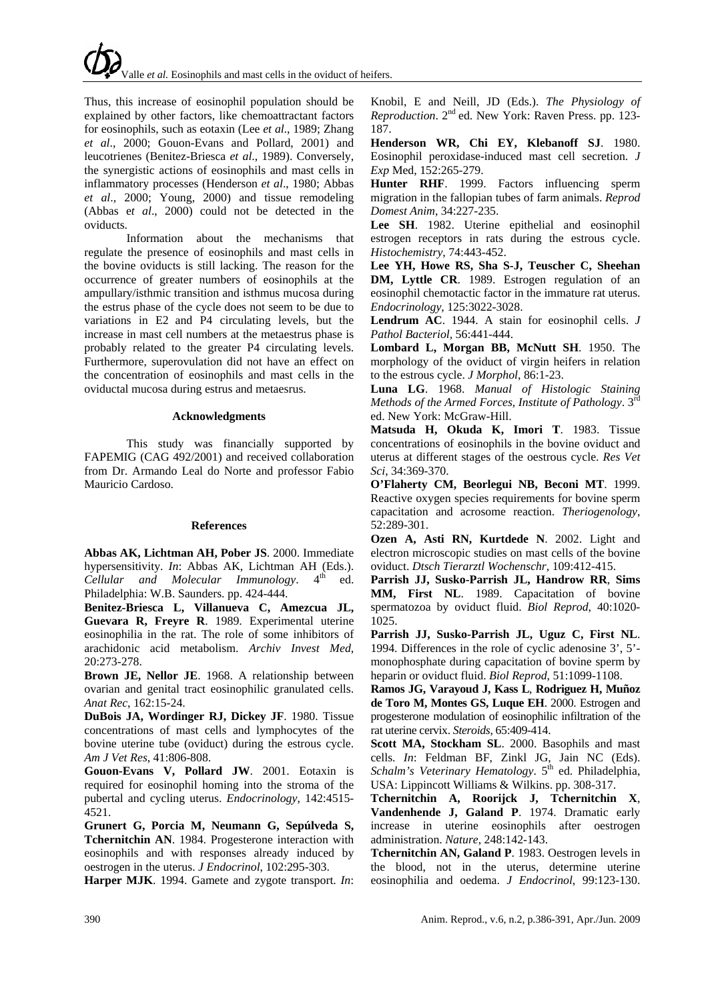Thus, this increase of eosinophil population should be explained by other factors, like chemoattractant factors for eosinophils, such as eotaxin (Lee *et al*., 1989; Zhang *et al*., 2000; Gouon-Evans and Pollard, 2001) and leucotrienes (Benitez-Briesca *et al*., 1989). Conversely, the synergistic actions of eosinophils and mast cells in inflammatory processes (Henderson *et al*., 1980; Abbas *et al*., 2000; Young, 2000) and tissue remodeling (Abbas e*t al*., 2000) could not be detected in the oviducts.

Information about the mechanisms that regulate the presence of eosinophils and mast cells in the bovine oviducts is still lacking. The reason for the occurrence of greater numbers of eosinophils at the ampullary/isthmic transition and isthmus mucosa during the estrus phase of the cycle does not seem to be due to variations in E2 and P4 circulating levels, but the increase in mast cell numbers at the metaestrus phase is probably related to the greater P4 circulating levels. Furthermore, superovulation did not have an effect on the concentration of eosinophils and mast cells in the oviductal mucosa during estrus and metaesrus.

### **Acknowledgments**

This study was financially supported by FAPEMIG (CAG 492/2001) and received collaboration from Dr. Armando Leal do Norte and professor Fabio Mauricio Cardoso.

# **References**

**Abbas AK, Lichtman AH, Pober JS**. 2000. Immediate hypersensitivity. *In*: Abbas AK, Lichtman AH (Eds.). *Cellular and Molecular Immunology*.  $4^{\text{th}}$  ed. Philadelphia: W.B. Saunders. pp. 424-444.

**Benitez-Briesca L, Villanueva C, Amezcua JL, Guevara R, Freyre R**. 1989. Experimental uterine eosinophilia in the rat. The role of some inhibitors of arachidonic acid metabolism. *Archiv Invest Med*, 20:273-278.

**Brown JE, Nellor JE**. 1968. A relationship between ovarian and genital tract eosinophilic granulated cells. *Anat Rec*, 162:15-24.

**DuBois JA, Wordinger RJ, Dickey JF**. 1980. Tissue concentrations of mast cells and lymphocytes of the bovine uterine tube (oviduct) during the estrous cycle. *Am J Vet Res*, 41:806-808.

**Gouon-Evans V, Pollard JW**. 2001. Eotaxin is required for eosinophil homing into the stroma of the pubertal and cycling uterus. *Endocrinology*, 142:4515- 4521.

**Grunert G, Porcia M, Neumann G, Sepúlveda S, Tchernitchin AN**. 1984. Progesterone interaction with eosinophils and with responses already induced by oestrogen in the uterus. *J Endocrinol*, 102:295-303.

**Harper MJK**. 1994. Gamete and zygote transport. *In*:

Knobil, E and Neill, JD (Eds.). *The Physiology of Reproduction*. 2nd ed. New York: Raven Press. pp. 123- 187.

**Henderson WR, Chi EY, Klebanoff SJ**. 1980. Eosinophil peroxidase-induced mast cell secretion. *J Exp* Med, 152:265-279.

**Hunter RHF**. 1999. Factors influencing sperm migration in the fallopian tubes of farm animals. *Reprod Domest Anim*, 34:227-235.

**Lee SH**. 1982. Uterine epithelial and eosinophil estrogen receptors in rats during the estrous cycle. *Histochemistry*, 74:443-452.

**Lee YH, Howe RS, Sha S-J, Teuscher C, Sheehan DM, Lyttle CR**. 1989. Estrogen regulation of an eosinophil chemotactic factor in the immature rat uterus. *Endocrinology*, 125:3022-3028.

**Lendrum AC**. 1944. A stain for eosinophil cells. *J Pathol Bacteriol*, 56:441-444.

**Lombard L, Morgan BB, McNutt SH**. 1950. The morphology of the oviduct of virgin heifers in relation to the estrous cycle. *J Morphol*, 86:1-23.

**Luna LG**. 1968. *Manual of Histologic Staining Methods of the Armed Forces, Institute of Pathology*. 3rd ed. New York: McGraw-Hill.

**Matsuda H, Okuda K, Imori T**. 1983. Tissue concentrations of eosinophils in the bovine oviduct and uterus at different stages of the oestrous cycle. *Res Vet Sci*, 34:369-370.

**O'Flaherty CM, Beorlegui NB, Beconi MT**. 1999. Reactive oxygen species requirements for bovine sperm capacitation and acrosome reaction. *Theriogenology*, 52:289-301.

**Ozen A, Asti RN, Kurtdede N**. 2002. Light and electron microscopic studies on mast cells of the bovine oviduct. *Dtsch Tierarztl Wochenschr*, 109:412-415.

**Parrish JJ, Susko-Parrish JL, Handrow RR**, **Sims MM, First NL**. 1989. Capacitation of bovine spermatozoa by oviduct fluid. *Biol Reprod*, 40:1020- 1025.

**Parrish JJ, Susko-Parrish JL, Uguz C, First NL**. 1994. Differences in the role of cyclic adenosine 3', 5' monophosphate during capacitation of bovine sperm by heparin or oviduct fluid. *Biol Reprod*, 51:1099-1108.

**Ramos JG, Varayoud J, Kass L**, **Rodriguez H, Muñoz de Toro M, Montes GS, Luque EH**. 2000. Estrogen and progesterone modulation of eosinophilic infiltration of the rat uterine cervix. *Steroids*, 65:409-414.

**Scott MA, Stockham SL**. 2000. Basophils and mast cells. *In*: Feldman BF, Zinkl JG, Jain NC (Eds). *Schalm's Veterinary Hematology*. 5<sup>th</sup> ed. Philadelphia, USA: Lippincott Williams & Wilkins. pp. 308-317.

**Tchernitchin A, Roorijck J, Tchernitchin X**, **Vandenhende J, Galand P**. 1974. Dramatic early increase in uterine eosinophils after oestrogen administration. *Nature*, 248:142-143.

**Tchernitchin AN, Galand P**. 1983. Oestrogen levels in the blood, not in the uterus, determine uterine eosinophilia and oedema. *J Endocrinol*, 99:123-130.